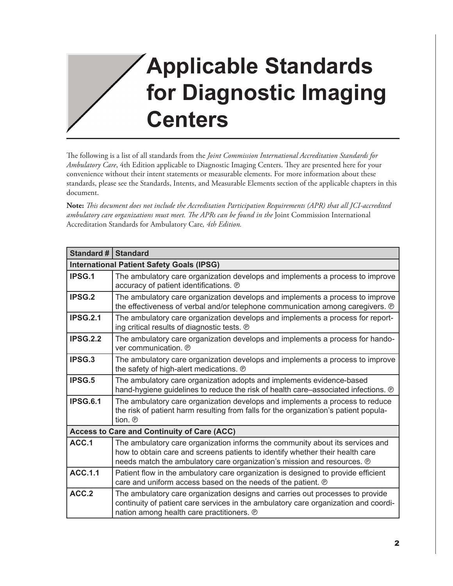## **Applicable Standards for Diagnostic Imaging Centers**

The following is a list of all standards from the *Joint Commission International Accreditation Standards for Ambulatory Care*, 4th Edition applicable to Diagnostic Imaging Centers. They are presented here for your convenience without their intent statements or measurable elements. For more information about these standards, please see the Standards, Intents, and Measurable Elements section of the applicable chapters in this document.

**Note:** *This document does not include the Accreditation Participation Requirements (APR) that all JCI-accredited ambulatory care organizations must meet. The APRs can be found in the* Joint Commission International Accreditation Standards for Ambulatory Care*, 4th Edition.*

| Standard # $ $                                   | <b>Standard</b>                                                                                                                                                                                                                           |
|--------------------------------------------------|-------------------------------------------------------------------------------------------------------------------------------------------------------------------------------------------------------------------------------------------|
| <b>International Patient Safety Goals (IPSG)</b> |                                                                                                                                                                                                                                           |
| <b>IPSG.1</b>                                    | The ambulatory care organization develops and implements a process to improve<br>accuracy of patient identifications. ®                                                                                                                   |
| <b>IPSG.2</b>                                    | The ambulatory care organization develops and implements a process to improve<br>the effectiveness of verbal and/or telephone communication among caregivers. $\odot$                                                                     |
| <b>IPSG.2.1</b>                                  | The ambulatory care organization develops and implements a process for report-<br>ing critical results of diagnostic tests. ®                                                                                                             |
| <b>IPSG.2.2</b>                                  | The ambulatory care organization develops and implements a process for hando-<br>ver communication. <b>P</b>                                                                                                                              |
| IPSG.3                                           | The ambulatory care organization develops and implements a process to improve<br>the safety of high-alert medications. ®                                                                                                                  |
| <b>IPSG.5</b>                                    | The ambulatory care organization adopts and implements evidence-based<br>hand-hygiene guidelines to reduce the risk of health care-associated infections. @                                                                               |
| <b>IPSG.6.1</b>                                  | The ambulatory care organization develops and implements a process to reduce<br>the risk of patient harm resulting from falls for the organization's patient popula-<br>tion. ®                                                           |
|                                                  | <b>Access to Care and Continuity of Care (ACC)</b>                                                                                                                                                                                        |
| ACC <sub>1</sub>                                 | The ambulatory care organization informs the community about its services and<br>how to obtain care and screens patients to identify whether their health care<br>needs match the ambulatory care organization's mission and resources. ® |
| <b>ACC.1.1</b>                                   | Patient flow in the ambulatory care organization is designed to provide efficient<br>care and uniform access based on the needs of the patient. @                                                                                         |
| ACC.2                                            | The ambulatory care organization designs and carries out processes to provide<br>continuity of patient care services in the ambulatory care organization and coordi-<br>nation among health care practitioners. ®                         |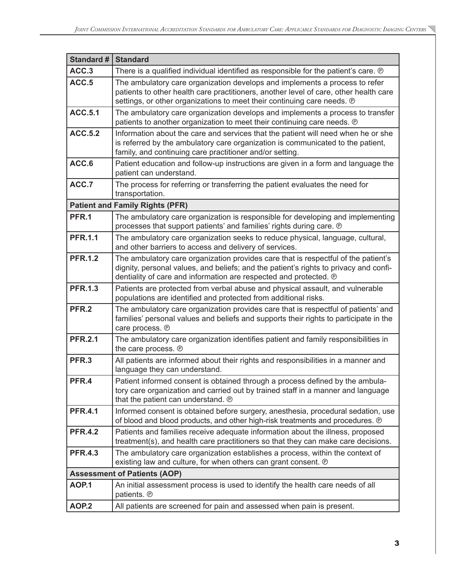| <b>Standard #</b> | <b>Standard</b>                                                                                                                                                                                                                                  |
|-------------------|--------------------------------------------------------------------------------------------------------------------------------------------------------------------------------------------------------------------------------------------------|
| ACC.3             | There is a qualified individual identified as responsible for the patient's care. @                                                                                                                                                              |
| ACC.5             | The ambulatory care organization develops and implements a process to refer<br>patients to other health care practitioners, another level of care, other health care<br>settings, or other organizations to meet their continuing care needs. ®  |
| <b>ACC.5.1</b>    | The ambulatory care organization develops and implements a process to transfer<br>patients to another organization to meet their continuing care needs. ®                                                                                        |
| <b>ACC.5.2</b>    | Information about the care and services that the patient will need when he or she<br>is referred by the ambulatory care organization is communicated to the patient,<br>family, and continuing care practitioner and/or setting.                 |
| ACC.6             | Patient education and follow-up instructions are given in a form and language the<br>patient can understand.                                                                                                                                     |
| ACC.7             | The process for referring or transferring the patient evaluates the need for<br>transportation.                                                                                                                                                  |
|                   | <b>Patient and Family Rights (PFR)</b>                                                                                                                                                                                                           |
| PFR.1             | The ambulatory care organization is responsible for developing and implementing<br>processes that support patients' and families' rights during care. @                                                                                          |
| <b>PFR.1.1</b>    | The ambulatory care organization seeks to reduce physical, language, cultural,<br>and other barriers to access and delivery of services.                                                                                                         |
| <b>PFR.1.2</b>    | The ambulatory care organization provides care that is respectful of the patient's<br>dignity, personal values, and beliefs; and the patient's rights to privacy and confi-<br>dentiality of care and information are respected and protected. @ |
| <b>PFR.1.3</b>    | Patients are protected from verbal abuse and physical assault, and vulnerable<br>populations are identified and protected from additional risks.                                                                                                 |
| PFR.2             | The ambulatory care organization provides care that is respectful of patients' and<br>families' personal values and beliefs and supports their rights to participate in the<br>care process. ®                                                   |
| <b>PFR.2.1</b>    | The ambulatory care organization identifies patient and family responsibilities in<br>the care process. ®                                                                                                                                        |
| PFR.3             | All patients are informed about their rights and responsibilities in a manner and<br>language they can understand.                                                                                                                               |
| PFR.4             | Patient informed consent is obtained through a process defined by the ambula-<br>tory care organization and carried out by trained staff in a manner and language<br>that the patient can understand. ®                                          |
| <b>PFR.4.1</b>    | Informed consent is obtained before surgery, anesthesia, procedural sedation, use<br>of blood and blood products, and other high-risk treatments and procedures. @                                                                               |
| <b>PFR.4.2</b>    | Patients and families receive adequate information about the illness, proposed<br>treatment(s), and health care practitioners so that they can make care decisions.                                                                              |
| <b>PFR.4.3</b>    | The ambulatory care organization establishes a process, within the context of<br>existing law and culture, for when others can grant consent. @                                                                                                  |
|                   | <b>Assessment of Patients (AOP)</b>                                                                                                                                                                                                              |
| <b>AOP.1</b>      | An initial assessment process is used to identify the health care needs of all<br>patients. ®                                                                                                                                                    |
| AOP.2             | All patients are screened for pain and assessed when pain is present.                                                                                                                                                                            |

 $\overline{\phantom{0}}$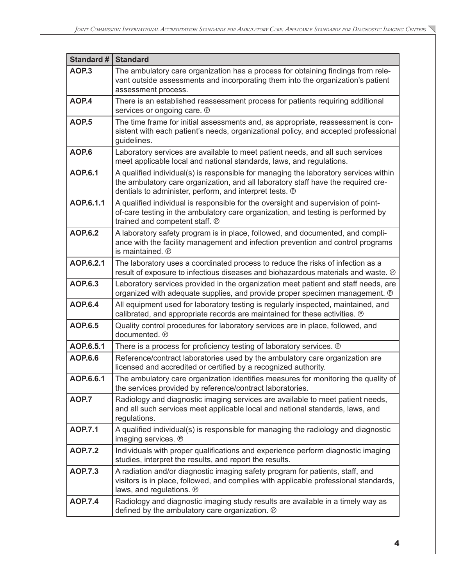| Standard #       | <b>Standard</b>                                                                                                                                                                                                                      |
|------------------|--------------------------------------------------------------------------------------------------------------------------------------------------------------------------------------------------------------------------------------|
| AOP <sub>3</sub> | The ambulatory care organization has a process for obtaining findings from rele-<br>vant outside assessments and incorporating them into the organization's patient<br>assessment process.                                           |
| AOP.4            | There is an established reassessment process for patients requiring additional<br>services or ongoing care. ®                                                                                                                        |
| <b>AOP.5</b>     | The time frame for initial assessments and, as appropriate, reassessment is con-<br>sistent with each patient's needs, organizational policy, and accepted professional<br>guidelines.                                               |
| AOP.6            | Laboratory services are available to meet patient needs, and all such services<br>meet applicable local and national standards, laws, and regulations.                                                                               |
| <b>AOP.6.1</b>   | A qualified individual(s) is responsible for managing the laboratory services within<br>the ambulatory care organization, and all laboratory staff have the required cre-<br>dentials to administer, perform, and interpret tests. @ |
| AOP.6.1.1        | A qualified individual is responsible for the oversight and supervision of point-<br>of-care testing in the ambulatory care organization, and testing is performed by<br>trained and competent staff. ®                              |
| <b>AOP.6.2</b>   | A laboratory safety program is in place, followed, and documented, and compli-<br>ance with the facility management and infection prevention and control programs<br>is maintained. ®                                                |
| AOP.6.2.1        | The laboratory uses a coordinated process to reduce the risks of infection as a<br>result of exposure to infectious diseases and biohazardous materials and waste. @                                                                 |
| <b>AOP.6.3</b>   | Laboratory services provided in the organization meet patient and staff needs, are<br>organized with adequate supplies, and provide proper specimen management. @                                                                    |
| <b>AOP.6.4</b>   | All equipment used for laboratory testing is regularly inspected, maintained, and<br>calibrated, and appropriate records are maintained for these activities. ®                                                                      |
| <b>AOP.6.5</b>   | Quality control procedures for laboratory services are in place, followed, and<br>documented. ®                                                                                                                                      |
| AOP.6.5.1        | There is a process for proficiency testing of laboratory services. @                                                                                                                                                                 |
| <b>AOP.6.6</b>   | Reference/contract laboratories used by the ambulatory care organization are<br>licensed and accredited or certified by a recognized authority.                                                                                      |
| AOP.6.6.1        | The ambulatory care organization identifies measures for monitoring the quality of<br>the services provided by reference/contract laboratories.                                                                                      |
| AOP.7            | Radiology and diagnostic imaging services are available to meet patient needs,<br>and all such services meet applicable local and national standards, laws, and<br>regulations.                                                      |
| <b>AOP.7.1</b>   | A qualified individual(s) is responsible for managing the radiology and diagnostic<br>imaging services. ®                                                                                                                            |
| <b>AOP.7.2</b>   | Individuals with proper qualifications and experience perform diagnostic imaging<br>studies, interpret the results, and report the results.                                                                                          |
| <b>AOP.7.3</b>   | A radiation and/or diagnostic imaging safety program for patients, staff, and<br>visitors is in place, followed, and complies with applicable professional standards,<br>laws, and regulations. ®                                    |
| <b>AOP.7.4</b>   | Radiology and diagnostic imaging study results are available in a timely way as<br>defined by the ambulatory care organization. ®                                                                                                    |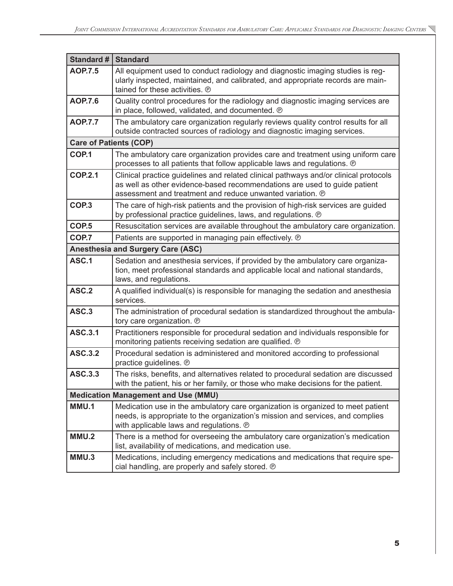| <b>Standard #</b>             | <b>Standard</b>                                                                                                                                                                                                                |  |
|-------------------------------|--------------------------------------------------------------------------------------------------------------------------------------------------------------------------------------------------------------------------------|--|
| <b>AOP.7.5</b>                | All equipment used to conduct radiology and diagnostic imaging studies is reg-<br>ularly inspected, maintained, and calibrated, and appropriate records are main-<br>tained for these activities. ®                            |  |
| <b>AOP.7.6</b>                | Quality control procedures for the radiology and diagnostic imaging services are<br>in place, followed, validated, and documented. @                                                                                           |  |
| <b>AOP.7.7</b>                | The ambulatory care organization regularly reviews quality control results for all<br>outside contracted sources of radiology and diagnostic imaging services.                                                                 |  |
| <b>Care of Patients (COP)</b> |                                                                                                                                                                                                                                |  |
| COP.1                         | The ambulatory care organization provides care and treatment using uniform care<br>processes to all patients that follow applicable laws and regulations. ®                                                                    |  |
| <b>COP.2.1</b>                | Clinical practice guidelines and related clinical pathways and/or clinical protocols<br>as well as other evidence-based recommendations are used to guide patient<br>assessment and treatment and reduce unwanted variation. ® |  |
| COP.3                         | The care of high-risk patients and the provision of high-risk services are guided<br>by professional practice guidelines, laws, and regulations. @                                                                             |  |
| COP <sub>.5</sub>             | Resuscitation services are available throughout the ambulatory care organization.                                                                                                                                              |  |
| COP.7                         | Patients are supported in managing pain effectively. ®                                                                                                                                                                         |  |
|                               | <b>Anesthesia and Surgery Care (ASC)</b>                                                                                                                                                                                       |  |
| ASC.1                         | Sedation and anesthesia services, if provided by the ambulatory care organiza-<br>tion, meet professional standards and applicable local and national standards,<br>laws, and regulations.                                     |  |
| ASC.2                         | A qualified individual(s) is responsible for managing the sedation and anesthesia<br>services.                                                                                                                                 |  |
| ASC.3                         | The administration of procedural sedation is standardized throughout the ambula-<br>tory care organization. ®                                                                                                                  |  |
| <b>ASC.3.1</b>                | Practitioners responsible for procedural sedation and individuals responsible for<br>monitoring patients receiving sedation are qualified. @                                                                                   |  |
| <b>ASC.3.2</b>                | Procedural sedation is administered and monitored according to professional<br>practice guidelines. ®                                                                                                                          |  |
| <b>ASC.3.3</b>                | The risks, benefits, and alternatives related to procedural sedation are discussed<br>with the patient, his or her family, or those who make decisions for the patient.                                                        |  |
|                               | <b>Medication Management and Use (MMU)</b>                                                                                                                                                                                     |  |
| MMU.1                         | Medication use in the ambulatory care organization is organized to meet patient<br>needs, is appropriate to the organization's mission and services, and complies<br>with applicable laws and regulations. ®                   |  |
| MMU.2                         | There is a method for overseeing the ambulatory care organization's medication<br>list, availability of medications, and medication use.                                                                                       |  |
| MMU.3                         | Medications, including emergency medications and medications that require spe-<br>cial handling, are properly and safely stored. ®                                                                                             |  |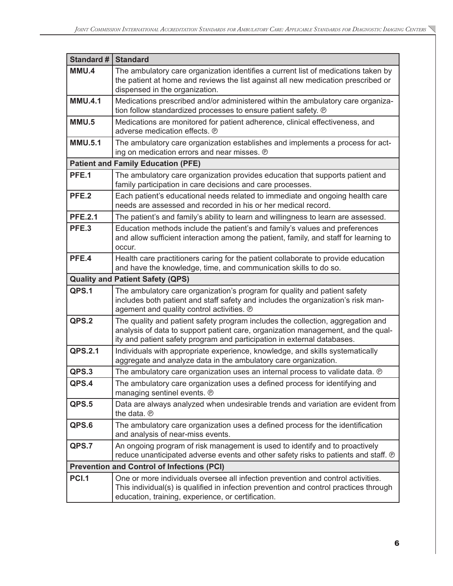| Standard #     | <b>Standard</b>                                                                                                                                                                                                                                |
|----------------|------------------------------------------------------------------------------------------------------------------------------------------------------------------------------------------------------------------------------------------------|
| MMU.4          | The ambulatory care organization identifies a current list of medications taken by<br>the patient at home and reviews the list against all new medication prescribed or<br>dispensed in the organization.                                      |
| <b>MMU.4.1</b> | Medications prescribed and/or administered within the ambulatory care organiza-<br>tion follow standardized processes to ensure patient safety. @                                                                                              |
| MMU.5          | Medications are monitored for patient adherence, clinical effectiveness, and<br>adverse medication effects. ®                                                                                                                                  |
| <b>MMU.5.1</b> | The ambulatory care organization establishes and implements a process for act-<br>ing on medication errors and near misses. ®                                                                                                                  |
|                | <b>Patient and Family Education (PFE)</b>                                                                                                                                                                                                      |
| PFE.1          | The ambulatory care organization provides education that supports patient and<br>family participation in care decisions and care processes.                                                                                                    |
| PFE.2          | Each patient's educational needs related to immediate and ongoing health care<br>needs are assessed and recorded in his or her medical record.                                                                                                 |
| <b>PFE.2.1</b> | The patient's and family's ability to learn and willingness to learn are assessed.                                                                                                                                                             |
| PFE.3          | Education methods include the patient's and family's values and preferences<br>and allow sufficient interaction among the patient, family, and staff for learning to<br>occur.                                                                 |
| PFE.4          | Health care practitioners caring for the patient collaborate to provide education<br>and have the knowledge, time, and communication skills to do so.                                                                                          |
|                | <b>Quality and Patient Safety (QPS)</b>                                                                                                                                                                                                        |
| QPS.1          | The ambulatory care organization's program for quality and patient safety<br>includes both patient and staff safety and includes the organization's risk man-<br>agement and quality control activities. ®                                     |
| QPS.2          | The quality and patient safety program includes the collection, aggregation and<br>analysis of data to support patient care, organization management, and the qual-<br>ity and patient safety program and participation in external databases. |
| QPS.2.1        | Individuals with appropriate experience, knowledge, and skills systematically<br>aggregate and analyze data in the ambulatory care organization.                                                                                               |
| QPS.3          | The ambulatory care organization uses an internal process to validate data. @                                                                                                                                                                  |
| QPS.4          | The ambulatory care organization uses a defined process for identifying and<br>managing sentinel events. ®                                                                                                                                     |
| QPS.5          | Data are always analyzed when undesirable trends and variation are evident from<br>the data. ®                                                                                                                                                 |
| QPS.6          | The ambulatory care organization uses a defined process for the identification<br>and analysis of near-miss events.                                                                                                                            |
| QPS.7          | An ongoing program of risk management is used to identify and to proactively<br>reduce unanticipated adverse events and other safety risks to patients and staff. @                                                                            |
|                | <b>Prevention and Control of Infections (PCI)</b>                                                                                                                                                                                              |
| <b>PCI.1</b>   | One or more individuals oversee all infection prevention and control activities.<br>This individual(s) is qualified in infection prevention and control practices through<br>education, training, experience, or certification.                |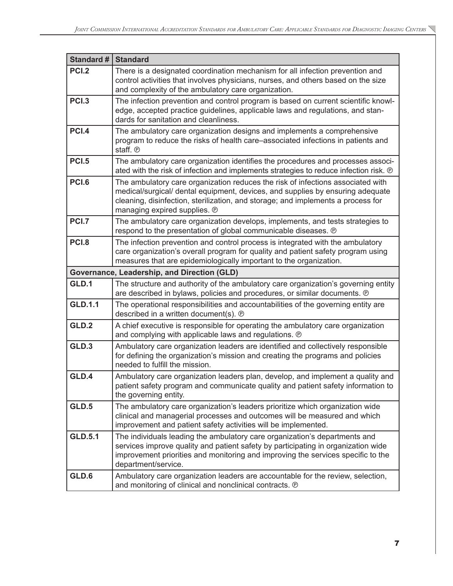| Standard #     | <b>Standard</b>                                                                                                                                                                                                                                                                       |
|----------------|---------------------------------------------------------------------------------------------------------------------------------------------------------------------------------------------------------------------------------------------------------------------------------------|
| <b>PCI.2</b>   | There is a designated coordination mechanism for all infection prevention and<br>control activities that involves physicians, nurses, and others based on the size<br>and complexity of the ambulatory care organization.                                                             |
| <b>PCI.3</b>   | The infection prevention and control program is based on current scientific knowl-<br>edge, accepted practice guidelines, applicable laws and regulations, and stan-<br>dards for sanitation and cleanliness.                                                                         |
| <b>PCI.4</b>   | The ambulatory care organization designs and implements a comprehensive<br>program to reduce the risks of health care-associated infections in patients and<br>staff. ®                                                                                                               |
| <b>PCI.5</b>   | The ambulatory care organization identifies the procedures and processes associ-<br>ated with the risk of infection and implements strategies to reduce infection risk. ®                                                                                                             |
| <b>PCI.6</b>   | The ambulatory care organization reduces the risk of infections associated with<br>medical/surgical/ dental equipment, devices, and supplies by ensuring adequate<br>cleaning, disinfection, sterilization, and storage; and implements a process for<br>managing expired supplies. ® |
| PCI.7          | The ambulatory care organization develops, implements, and tests strategies to<br>respond to the presentation of global communicable diseases. @                                                                                                                                      |
| <b>PCI.8</b>   | The infection prevention and control process is integrated with the ambulatory<br>care organization's overall program for quality and patient safety program using<br>measures that are epidemiologically important to the organization.                                              |
|                | Governance, Leadership, and Direction (GLD)                                                                                                                                                                                                                                           |
| GLD.1          | The structure and authority of the ambulatory care organization's governing entity<br>are described in bylaws, policies and procedures, or similar documents. @                                                                                                                       |
| <b>GLD.1.1</b> | The operational responsibilities and accountabilities of the governing entity are<br>described in a written document(s). ®                                                                                                                                                            |
| GLD.2          | A chief executive is responsible for operating the ambulatory care organization<br>and complying with applicable laws and regulations. @                                                                                                                                              |
| GLD.3          | Ambulatory care organization leaders are identified and collectively responsible<br>for defining the organization's mission and creating the programs and policies<br>needed to fulfill the mission.                                                                                  |
| GLD.4          | Ambulatory care organization leaders plan, develop, and implement a quality and<br>patient safety program and communicate quality and patient safety information to<br>the governing entity.                                                                                          |
| GLD.5          | The ambulatory care organization's leaders prioritize which organization wide<br>clinical and managerial processes and outcomes will be measured and which<br>improvement and patient safety activities will be implemented.                                                          |
| <b>GLD.5.1</b> | The individuals leading the ambulatory care organization's departments and<br>services improve quality and patient safety by participating in organization wide<br>improvement priorities and monitoring and improving the services specific to the<br>department/service.            |
| GLD.6          | Ambulatory care organization leaders are accountable for the review, selection,<br>and monitoring of clinical and nonclinical contracts. ®                                                                                                                                            |

╲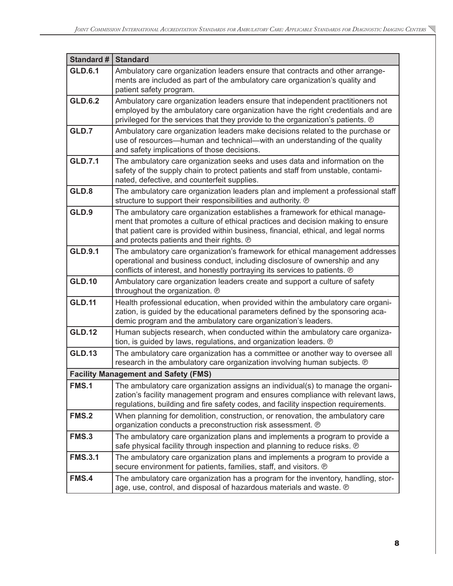| <b>Standard #</b> | <b>Standard</b>                                                                                                                                                                                                                                                                                    |
|-------------------|----------------------------------------------------------------------------------------------------------------------------------------------------------------------------------------------------------------------------------------------------------------------------------------------------|
| <b>GLD.6.1</b>    | Ambulatory care organization leaders ensure that contracts and other arrange-<br>ments are included as part of the ambulatory care organization's quality and<br>patient safety program.                                                                                                           |
| <b>GLD.6.2</b>    | Ambulatory care organization leaders ensure that independent practitioners not<br>employed by the ambulatory care organization have the right credentials and are<br>privileged for the services that they provide to the organization's patients. ®                                               |
| GLD.7             | Ambulatory care organization leaders make decisions related to the purchase or<br>use of resources—human and technical—with an understanding of the quality<br>and safety implications of those decisions.                                                                                         |
| <b>GLD.7.1</b>    | The ambulatory care organization seeks and uses data and information on the<br>safety of the supply chain to protect patients and staff from unstable, contami-<br>nated, defective, and counterfeit supplies.                                                                                     |
| GLD.8             | The ambulatory care organization leaders plan and implement a professional staff<br>structure to support their responsibilities and authority. ®                                                                                                                                                   |
| GLD.9             | The ambulatory care organization establishes a framework for ethical manage-<br>ment that promotes a culture of ethical practices and decision making to ensure<br>that patient care is provided within business, financial, ethical, and legal norms<br>and protects patients and their rights. @ |
| <b>GLD.9.1</b>    | The ambulatory care organization's framework for ethical management addresses<br>operational and business conduct, including disclosure of ownership and any<br>conflicts of interest, and honestly portraying its services to patients. ®                                                         |
| <b>GLD.10</b>     | Ambulatory care organization leaders create and support a culture of safety<br>throughout the organization. ®                                                                                                                                                                                      |
| <b>GLD.11</b>     | Health professional education, when provided within the ambulatory care organi-<br>zation, is guided by the educational parameters defined by the sponsoring aca-<br>demic program and the ambulatory care organization's leaders.                                                                 |
| <b>GLD.12</b>     | Human subjects research, when conducted within the ambulatory care organiza-<br>tion, is guided by laws, regulations, and organization leaders. ®                                                                                                                                                  |
| <b>GLD.13</b>     | The ambulatory care organization has a committee or another way to oversee all<br>research in the ambulatory care organization involving human subjects. ®                                                                                                                                         |
|                   | <b>Facility Management and Safety (FMS)</b>                                                                                                                                                                                                                                                        |
| <b>FMS.1</b>      | The ambulatory care organization assigns an individual(s) to manage the organi-<br>zation's facility management program and ensures compliance with relevant laws,<br>regulations, building and fire safety codes, and facility inspection requirements.                                           |
| <b>FMS.2</b>      | When planning for demolition, construction, or renovation, the ambulatory care<br>organization conducts a preconstruction risk assessment. @                                                                                                                                                       |
| FMS.3             | The ambulatory care organization plans and implements a program to provide a<br>safe physical facility through inspection and planning to reduce risks. ®                                                                                                                                          |
| <b>FMS.3.1</b>    | The ambulatory care organization plans and implements a program to provide a<br>secure environment for patients, families, staff, and visitors. @                                                                                                                                                  |
| <b>FMS.4</b>      | The ambulatory care organization has a program for the inventory, handling, stor-<br>age, use, control, and disposal of hazardous materials and waste. @                                                                                                                                           |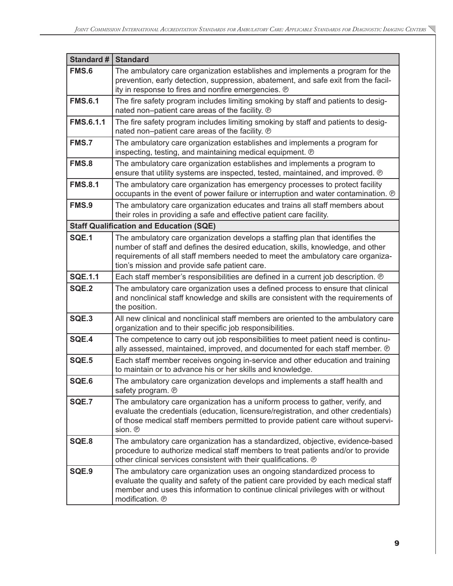| <b>Standard #</b> | <b>Standard</b>                                                                                                                                                                                                                                                                                     |
|-------------------|-----------------------------------------------------------------------------------------------------------------------------------------------------------------------------------------------------------------------------------------------------------------------------------------------------|
| <b>FMS.6</b>      | The ambulatory care organization establishes and implements a program for the<br>prevention, early detection, suppression, abatement, and safe exit from the facil-<br>ity in response to fires and nonfire emergencies. ®                                                                          |
| <b>FMS.6.1</b>    | The fire safety program includes limiting smoking by staff and patients to desig-<br>nated non-patient care areas of the facility. ®                                                                                                                                                                |
| <b>FMS.6.1.1</b>  | The fire safety program includes limiting smoking by staff and patients to desig-<br>nated non-patient care areas of the facility. ®                                                                                                                                                                |
| <b>FMS.7</b>      | The ambulatory care organization establishes and implements a program for<br>inspecting, testing, and maintaining medical equipment. @                                                                                                                                                              |
| <b>FMS.8</b>      | The ambulatory care organization establishes and implements a program to<br>ensure that utility systems are inspected, tested, maintained, and improved. @                                                                                                                                          |
| <b>FMS.8.1</b>    | The ambulatory care organization has emergency processes to protect facility<br>occupants in the event of power failure or interruption and water contamination. @                                                                                                                                  |
| FMS.9             | The ambulatory care organization educates and trains all staff members about<br>their roles in providing a safe and effective patient care facility.                                                                                                                                                |
|                   | <b>Staff Qualification and Education (SQE)</b>                                                                                                                                                                                                                                                      |
| SQE.1             | The ambulatory care organization develops a staffing plan that identifies the<br>number of staff and defines the desired education, skills, knowledge, and other<br>requirements of all staff members needed to meet the ambulatory care organiza-<br>tion's mission and provide safe patient care. |
| <b>SQE.1.1</b>    | Each staff member's responsibilities are defined in a current job description. @                                                                                                                                                                                                                    |
| SQE.2             | The ambulatory care organization uses a defined process to ensure that clinical<br>and nonclinical staff knowledge and skills are consistent with the requirements of<br>the position.                                                                                                              |
| SQE.3             | All new clinical and nonclinical staff members are oriented to the ambulatory care<br>organization and to their specific job responsibilities.                                                                                                                                                      |
| SQE.4             | The competence to carry out job responsibilities to meet patient need is continu-<br>ally assessed, maintained, improved, and documented for each staff member. @                                                                                                                                   |
| SQE.5             | Each staff member receives ongoing in-service and other education and training<br>to maintain or to advance his or her skills and knowledge.                                                                                                                                                        |
| SQE.6             | The ambulatory care organization develops and implements a staff health and<br>safety program. @                                                                                                                                                                                                    |
| SQE.7             | The ambulatory care organization has a uniform process to gather, verify, and<br>evaluate the credentials (education, licensure/registration, and other credentials)<br>of those medical staff members permitted to provide patient care without supervi-<br>sion. ®                                |
| SQE.8             | The ambulatory care organization has a standardized, objective, evidence-based<br>procedure to authorize medical staff members to treat patients and/or to provide<br>other clinical services consistent with their qualifications. @                                                               |
| SQE.9             | The ambulatory care organization uses an ongoing standardized process to<br>evaluate the quality and safety of the patient care provided by each medical staff<br>member and uses this information to continue clinical privileges with or without<br>modification. ®                               |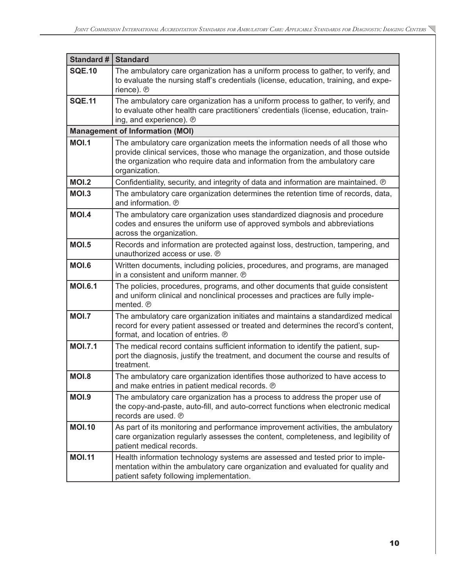| Standard #     | <b>Standard</b>                                                                                                                                                                                                                                                 |
|----------------|-----------------------------------------------------------------------------------------------------------------------------------------------------------------------------------------------------------------------------------------------------------------|
| <b>SQE.10</b>  | The ambulatory care organization has a uniform process to gather, to verify, and<br>to evaluate the nursing staff's credentials (license, education, training, and expe-<br>rience). ®                                                                          |
| <b>SQE.11</b>  | The ambulatory care organization has a uniform process to gather, to verify, and<br>to evaluate other health care practitioners' credentials (license, education, train-<br>ing, and experience). ®                                                             |
|                | <b>Management of Information (MOI)</b>                                                                                                                                                                                                                          |
| <b>MOI.1</b>   | The ambulatory care organization meets the information needs of all those who<br>provide clinical services, those who manage the organization, and those outside<br>the organization who require data and information from the ambulatory care<br>organization. |
| <b>MOI.2</b>   | Confidentiality, security, and integrity of data and information are maintained. ®                                                                                                                                                                              |
| <b>MOI.3</b>   | The ambulatory care organization determines the retention time of records, data,<br>and information. ®                                                                                                                                                          |
| <b>MOI.4</b>   | The ambulatory care organization uses standardized diagnosis and procedure<br>codes and ensures the uniform use of approved symbols and abbreviations<br>across the organization.                                                                               |
| <b>MOI.5</b>   | Records and information are protected against loss, destruction, tampering, and<br>unauthorized access or use. ®                                                                                                                                                |
| <b>MOI.6</b>   | Written documents, including policies, procedures, and programs, are managed<br>in a consistent and uniform manner. ®                                                                                                                                           |
| <b>MOI.6.1</b> | The policies, procedures, programs, and other documents that guide consistent<br>and uniform clinical and nonclinical processes and practices are fully imple-<br>mented. ®                                                                                     |
| <b>MOI.7</b>   | The ambulatory care organization initiates and maintains a standardized medical<br>record for every patient assessed or treated and determines the record's content,<br>format, and location of entries. ®                                                      |
| <b>MOI.7.1</b> | The medical record contains sufficient information to identify the patient, sup-<br>port the diagnosis, justify the treatment, and document the course and results of<br>treatment.                                                                             |
| <b>MOI.8</b>   | The ambulatory care organization identifies those authorized to have access to<br>and make entries in patient medical records. ®                                                                                                                                |
| <b>MOI.9</b>   | The ambulatory care organization has a process to address the proper use of<br>the copy-and-paste, auto-fill, and auto-correct functions when electronic medical<br>records are used. ®                                                                         |
| <b>MOI.10</b>  | As part of its monitoring and performance improvement activities, the ambulatory<br>care organization regularly assesses the content, completeness, and legibility of<br>patient medical records.                                                               |
| <b>MOI.11</b>  | Health information technology systems are assessed and tested prior to imple-<br>mentation within the ambulatory care organization and evaluated for quality and<br>patient safety following implementation.                                                    |

 $\overline{\phantom{0}}$